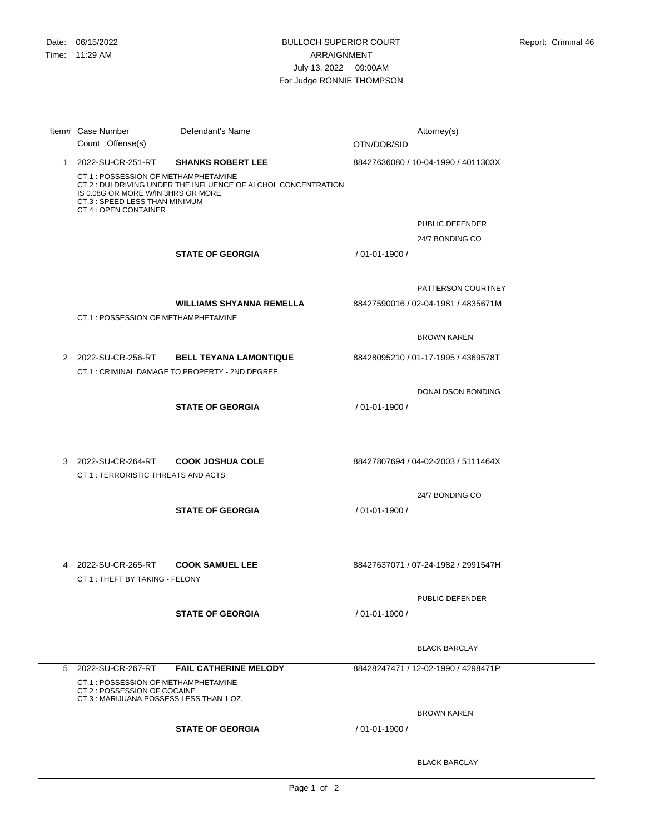|   | Item# Case Number<br>Count Offense(s)                                                                                                                                                                   | Defendant's Name                | OTN/DOB/SID        | Attorney(s)                         |
|---|---------------------------------------------------------------------------------------------------------------------------------------------------------------------------------------------------------|---------------------------------|--------------------|-------------------------------------|
|   | 1 2022-SU-CR-251-RT                                                                                                                                                                                     | <b>SHANKS ROBERT LEE</b>        |                    | 88427636080 / 10-04-1990 / 4011303X |
|   | CT.1 : POSSESSION OF METHAMPHETAMINE<br>CT.2 : DUI DRIVING UNDER THE INFLUENCE OF ALCHOL CONCENTRATION<br>IS 0.08G OR MORE W/IN 3HRS OR MORE<br>CT.3 : SPEED LESS THAN MINIMUM<br>CT.4 : OPEN CONTAINER |                                 |                    |                                     |
|   |                                                                                                                                                                                                         |                                 |                    | PUBLIC DEFENDER                     |
|   |                                                                                                                                                                                                         |                                 |                    | 24/7 BONDING CO                     |
|   |                                                                                                                                                                                                         | <b>STATE OF GEORGIA</b>         | $/01 - 01 - 1900/$ |                                     |
|   |                                                                                                                                                                                                         |                                 |                    | PATTERSON COURTNEY                  |
|   |                                                                                                                                                                                                         | <b>WILLIAMS SHYANNA REMELLA</b> |                    | 88427590016 / 02-04-1981 / 4835671M |
|   | CT.1 : POSSESSION OF METHAMPHETAMINE                                                                                                                                                                    |                                 |                    |                                     |
|   |                                                                                                                                                                                                         |                                 |                    | <b>BROWN KAREN</b>                  |
|   | 2 2022-SU-CR-256-RT                                                                                                                                                                                     | <b>BELL TEYANA LAMONTIQUE</b>   |                    | 88428095210 / 01-17-1995 / 4369578T |
|   | CT.1: CRIMINAL DAMAGE TO PROPERTY - 2ND DEGREE                                                                                                                                                          |                                 |                    |                                     |
|   |                                                                                                                                                                                                         |                                 |                    | DONALDSON BONDING                   |
|   |                                                                                                                                                                                                         | <b>STATE OF GEORGIA</b>         | $/01 - 01 - 1900/$ |                                     |
|   |                                                                                                                                                                                                         |                                 |                    |                                     |
|   |                                                                                                                                                                                                         |                                 |                    |                                     |
|   |                                                                                                                                                                                                         |                                 |                    |                                     |
| 3 | 2022-SU-CR-264-RT                                                                                                                                                                                       | <b>COOK JOSHUA COLE</b>         |                    | 88427807694 / 04-02-2003 / 5111464X |
|   | CT.1 : TERRORISTIC THREATS AND ACTS                                                                                                                                                                     |                                 |                    |                                     |
|   |                                                                                                                                                                                                         |                                 |                    | 24/7 BONDING CO                     |
|   |                                                                                                                                                                                                         | <b>STATE OF GEORGIA</b>         | / 01-01-1900 /     |                                     |
|   |                                                                                                                                                                                                         |                                 |                    |                                     |
|   |                                                                                                                                                                                                         |                                 |                    |                                     |
|   |                                                                                                                                                                                                         |                                 |                    |                                     |
|   | 4 2022-SU-CR-265-RT                                                                                                                                                                                     | <b>COOK SAMUEL LEE</b>          |                    | 88427637071 / 07-24-1982 / 2991547H |
|   | CT.1: THEFT BY TAKING - FELONY                                                                                                                                                                          |                                 |                    |                                     |
|   |                                                                                                                                                                                                         |                                 |                    | PUBLIC DEFENDER                     |
|   |                                                                                                                                                                                                         | <b>STATE OF GEORGIA</b>         | / 01-01-1900 /     |                                     |
|   |                                                                                                                                                                                                         |                                 |                    |                                     |
|   |                                                                                                                                                                                                         |                                 |                    |                                     |
|   |                                                                                                                                                                                                         |                                 |                    | <b>BLACK BARCLAY</b>                |
|   | 5 2022-SU-CR-267-RT                                                                                                                                                                                     | <b>FAIL CATHERINE MELODY</b>    |                    | 88428247471 / 12-02-1990 / 4298471P |
|   | CT.1: POSSESSION OF METHAMPHETAMINE<br>CT.2 : POSSESSION OF COCAINE<br>CT.3: MARIJUANA POSSESS LESS THAN 1 OZ.                                                                                          |                                 |                    |                                     |
|   |                                                                                                                                                                                                         |                                 |                    | <b>BROWN KAREN</b>                  |
|   |                                                                                                                                                                                                         | <b>STATE OF GEORGIA</b>         | / 01-01-1900 /     |                                     |
|   |                                                                                                                                                                                                         |                                 |                    |                                     |
|   |                                                                                                                                                                                                         |                                 |                    |                                     |
|   |                                                                                                                                                                                                         |                                 |                    | <b>BLACK BARCLAY</b>                |